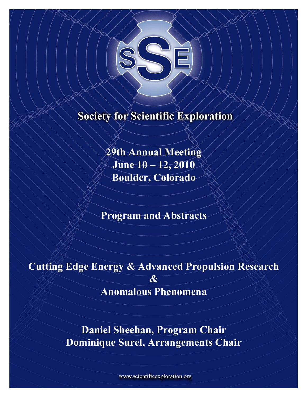

# **Society for Scientific Exploration**

29th Annual Meeting June 10-12, 2010 **Boulder, Colorado** 

**Program and Abstracts** 

**Cutting Edge Energy & Advanced Propulsion Research** 

 $\overline{\mathcal{R}}$ 

**Anomalous Phenomena** 

Daniel Sheehan, Program Chair Dominique Surel, Arrangements Chair

www.scientificexploration.org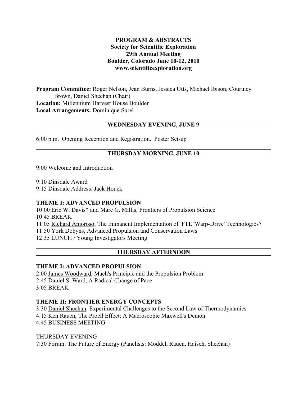## **PROGRAM & ABSTRACTS Society for Scientific Exploration 29th Annual Meeting Boulder, Colorado June 10-12, 2010 www.scientificexploration.org**

**Program Committee:** Roger Nelson, Jean Burns, Jessica Utts, Michael Ibison, Courtney Brown, Daniel Sheehan (Chair) **Location:** Millennium Harvest House Boulder **Local Arrangements:** Dominique Surel

## **WEDNESDAY EVENING, JUNE 9**

6:00 p.m. Opening Reception and Registration. Poster Set-up

## **THURSDAY MORNING, JUNE 10**

9:00 Welcome and Introduction

9:10 Dinsdale Award

9:15 Dinsdale Address: Jack Houck

#### **THEME I: ADVANCED PROPULSION**

10:00 Eric W. Davis\* and Marc G. Millis, Frontiers of Propulsion Science 10:45 BREAK 11:05 Richard Amoroso, The Immanent Implementation of FTL 'Warp-Drive' Technologies? 11:50 York Dobyns, Advanced Propulsion and Conservation Laws 12:35 LUNCH / Young Investigators Meeting

# **THURSDAY AFTERNOON**

#### **THEME I: ADVANCED PROPULSION**

2:00 James Woodward, Mach's Principle and the Propulsion Problem 2:45 Daniel S. Ward, A Radical Change of Pace 3:05 BREAK

#### **THEME II: FRONTIER ENERGY CONCEPTS**

3:30 Daniel Sheehan, Experimental Challenges to the Second Law of Thermodynamics 4:15 Ken Rauen, The Proell Effect: A Macroscopic Maxwell's Demon 4:45 BUSINESS MEETING

THURSDAY EVENING 7:30 Forum: The Future of Energy (Panelists: Moddel, Rauen, Haisch, Sheehan)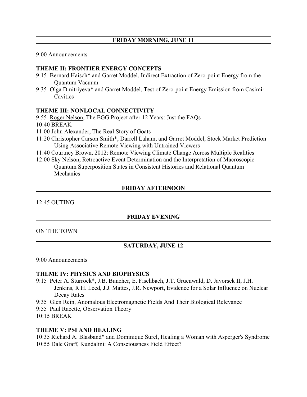9:00 Announcements

## **THEME II: FRONTIER ENERGY CONCEPTS**

- 9:15 Bernard Haisch\* and Garret Moddel, Indirect Extraction of Zero-point Energy from the Quantum Vacuum
- 9:35 Olga Dmitriyeva\* and Garret Moddel, Test of Zero-point Energy Emission from Casimir **Cavities**

## **THEME III: NONLOCAL CONNECTIVITY**

9:55 Roger Nelson, The EGG Project after 12 Years: Just the FAQs

10:40 BREAK

- 11:00 John Alexander, The Real Story of Goats
- 11:20 Christopher Carson Smith\*, Darrell Laham, and Garret Moddel, Stock Market Prediction Using Associative Remote Viewing with Untrained Viewers
- 11:40 Courtney Brown, 2012: Remote Viewing Climate Change Across Multiple Realities
- 12:00 Sky Nelson, Retroactive Event Determination and the Interpretation of Macroscopic Quantum Superposition States in Consistent Histories and Relational Quantum **Mechanics**

# **FRIDAY AFTERNOON**

12:45 OUTING

# **FRIDAY EVENING**

#### ON THE TOWN

# **SATURDAY, JUNE 12**

#### 9:00 Announcements

#### **THEME IV: PHYSICS AND BIOPHYSICS**

- 9:15 Peter A. Sturrock\*, J.B. Buncher, E. Fischbach, J.T. Gruenwald, D. Javorsek II, J.H. Jenkins, R.H. Leed, J.J. Mattes, J.R. Newport, Evidence for a Solar Influence on Nuclear Decay Rates
- 9:35 Glen Rein, Anomalous Electromagnetic Fields And Their Biological Relevance
- 9:55 Paul Racette, Observation Theory
- 10:15 BREAK

#### **THEME V: PSI AND HEALING**

10:35 Richard A. Blasband\* and Dominique Surel, Healing a Woman with Asperger's Syndrome 10:55 Dale Graff, Kundalini: A Consciousness Field Effect?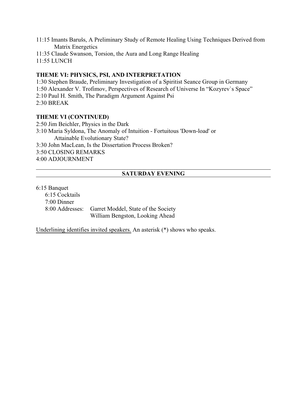- 11:15 Imants Barušs, A Preliminary Study of Remote Healing Using Techniques Derived from Matrix Energetics
- 11:35 Claude Swanson, Torsion, the Aura and Long Range Healing 11:55 LUNCH

## **THEME VI: PHYSICS, PSI, AND INTERPRETATION**

1:30 Stephen Braude, Preliminary Investigation of a Spiritist Seance Group in Germany 1:50 Alexander V. Trofimov, Perspectives of Research of Universe In "Kozyrev`s Space" 2:10 Paul H. Smith, The Paradigm Argument Against Psi 2:30 BREAK

## **THEME VI (CONTINUED)**

2:50 Jim Beichler, Physics in the Dark 3:10 Maria Syldona, The Anomaly of Intuition - Fortuitous 'Down-load' or Attainable Evolutionary State? 3:30 John MacLean, Is the Dissertation Process Broken? 3:50 CLOSING REMARKS 4:00 ADJOURNMENT

## **SATURDAY EVENING**

#### 6:15 Banquet

 6:15 Cocktails 7:00 Dinner 8:00 Addresses: Garret Moddel, State of the Society William Bengston, Looking Ahead

Underlining identifies invited speakers. An asterisk (\*) shows who speaks.